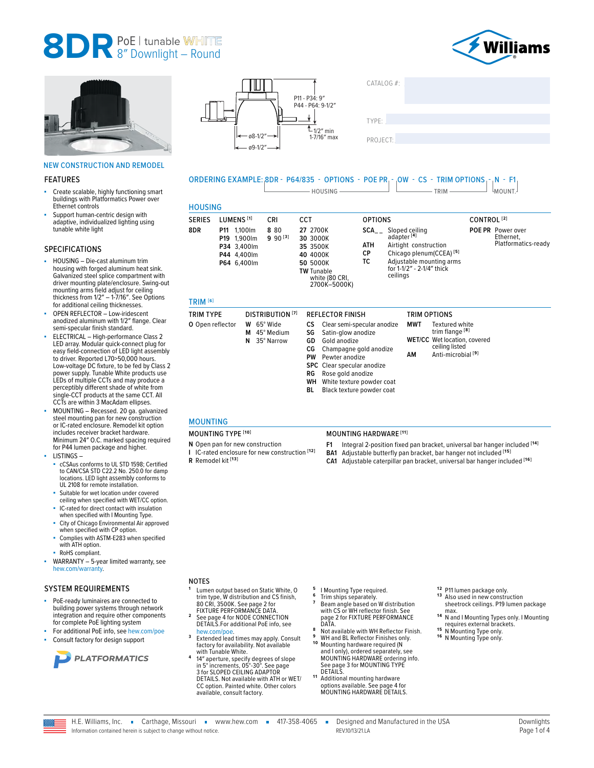



#### NEW CONSTRUCTION AND REMODEL

#### FEATURES

- Create scalable, highly functioning smart buildings with Platformatics Power over Ethernet controls
- Support human-centric design with adaptive, individualized lighting using tunable white light

#### SPECIFICATIONS

- HOUSING Die-cast aluminum trim housing with forged aluminum heat sink. Galvanized steel splice compartment with driver mounting plate/enclosure. Swing-out mounting arms field adjust for ceiling thickness from 1/2″ – 1-7/16″. See Options for additional ceiling thicknesses.
- OPEN REFLECTOR Low-iridescent anodized aluminum with 1/2″ flange. Clear semi-specular finish standard.
- ELECTRICAL High-performance Class 2 LED array. Modular quick-connect plug for easy field-connection of LED light assembly to driver. Reported L70>50,000 hours. Low-voltage DC fixture, to be fed by Class 2 power supply. Tunable White products use LEDs of multiple CCTs and may produce a perceptibly different shade of white from single-CCT products at the same CCT. All CCTs are within 3 MacAdam ellipses.
- MOUNTING Recessed. 20 ga. galvanized steel mounting pan for new construction or IC-rated enclosure. Remodel kit option includes receiver bracket hardware. Minimum 24″ O.C. marked spacing required for P44 lumen package and higher.
- LISTINGS
	- cCSAus conforms to UL STD 1598; Certified to CAN/CSA STD C22.2 No. 250.0 for damp locations. LED light assembly conforms to UL 2108 for remote installation.
	- Suitable for wet location under covered ceiling when specified with WET/CC option.
	- IC-rated for direct contact with insulation when specified with I Mounting Type.
	- City of Chicago Environmental Air approved when specified with CP option.
	- Complies with ASTM-E283 when specified with ATH option.
	- RoHS compliant.
- WARRANTY 5-year limited warranty, see [hew.com/warranty.](https://www.hew.com/resources/warranty-and-terms)

#### SYSTEM REQUIREMENTS

- PoE-ready luminaires are connected to building power systems through network integration and require other components for complete PoE lighting system
- For additional PoE info, see [hew.com/poe](https://www.hew.com/poe) Consult factory for design support







## ORDERING EXAMPLE: 8DR - P64/835 - OPTIONS - POE PR - OW - CS - TRIM OPTIONS - N - F1  $\Box$  HOUSING  $\Box$  TRIM  $\Box$  TRIM  $\Box$  MOUNT. **HOUSING**

| <b>SERIES</b>       | LUMENS <sup>[1]</sup>                                                    |        | CRI<br>CCT                             |                                                                               |                                                                                                                                                                                                      | <b>OPTIONS</b>         |                                    |                                                                      | CONTROL <sup>[2]</sup>                                                                                                                 |  |                                                              |
|---------------------|--------------------------------------------------------------------------|--------|----------------------------------------|-------------------------------------------------------------------------------|------------------------------------------------------------------------------------------------------------------------------------------------------------------------------------------------------|------------------------|------------------------------------|----------------------------------------------------------------------|----------------------------------------------------------------------------------------------------------------------------------------|--|--------------------------------------------------------------|
| 8DR                 | P11 1,100 lm<br>P19 1,900lm<br>P34 3.400lm<br>P44 4,400lm<br>P64 6,400lm |        | 8 80<br>$9.90^{[3]}$                   | 27 2700K<br>30 3000K<br>35 3500K<br>40 4000K<br>50 5000K<br><b>TW Tunable</b> | white (80 CRI,<br>2700K-5000K)                                                                                                                                                                       | SCA<br>ATH<br>СP<br>тс | adapter <sup>[4]</sup><br>ceilings | Sloped ceiling<br>Airtight construction<br>for 1-1/2" - 2-1/4" thick | Chicago plenum(CCEA) <sup>[5]</sup><br>Adjustable mounting arms                                                                        |  | <b>POE PR</b> Power over<br>Ethernet,<br>Platformatics-ready |
| TRIM <sup>[6]</sup> |                                                                          |        |                                        |                                                                               |                                                                                                                                                                                                      |                        |                                    |                                                                      |                                                                                                                                        |  |                                                              |
| <b>TRIM TYPE</b>    |                                                                          |        | <b>DISTRIBUTION</b> [7]                |                                                                               | <b>REFLECTOR FINISH</b>                                                                                                                                                                              |                        |                                    | TRIM OPTIONS                                                         |                                                                                                                                        |  |                                                              |
| O Open reflector    |                                                                          | М<br>N | W 65° Wide<br>45° Medium<br>35° Narrow | CS<br>SG<br>GD<br>СG<br>PW<br>RG<br>wu                                        | Clear semi-specular anodize<br>Satin-glow anodize<br>Gold anodize<br>Champagne gold anodize<br>Pewter anodize<br><b>SPC</b> Clear specular anodize<br>Rose gold anodize<br>White toyture nowder cost |                        |                                    | MWT<br>AM                                                            | Textured white<br>trim flange <sup>[8]</sup><br><b>WET/CC</b> Wet location, covered<br>ceiling listed<br>Anti-microbial <sup>[9]</sup> |  |                                                              |

- **WH** White texture powder coat
- **BL** Black texture powder coat

### MOUNTING

- 
- **N** Open pan for new construction **I** IC-rated enclosure for new construction **[12]**
- **R** Remodel kit **[13]**

#### MOUNTING TYPE **[10]** MOUNTING HARDWARE **[11]**

- **F1** Integral 2-position fixed pan bracket, universal bar hanger included **[14] BA1** Adjustable butterfly pan bracket, bar hanger not included **[15]**
- **CA1** Adjustable caterpillar pan bracket, universal bar hanger included **[16]**
- 

## NOTES

- **<sup>1</sup>** Lumen output based on Static White, O trim type, W distribution and CS finish, 80 CRI, 3500K. See page 2 for<br>FIXTURE PERFORMANCE DATA
- <sup>2</sup> See page 4 for NODE CONNECTION [DETAILS.](#page-3-0)For additional PoE info, see
- [hew.com/poe](https://www.hew.com/poe). **<sup>3</sup>** Extended lead times may apply. Consult factory for availability. Not available
- with Tunable White.<br>**4** 14″ aperture, specify degrees of slope<br>in 5° increments, 05°-30°. See page [3 for SLOPED CEILING ADAPTOR](#page-2-0)  [DETAILS.](#page-2-0) Not available with ATH or WET/ CC option. Painted white. Other colors available, consult factory.
- 
- **<sup>5</sup>**I Mounting Type required. **<sup>6</sup>** Trim ships separately. **<sup>7</sup>** Beam angle based on W distribution with CS or WH reflector finish. [See](#page-1-0)  [page 2 for FIXTURE PERFORMANCE](#page-1-0)
- [DATA.](#page-1-0) **<sup>8</sup>** Not available with WH Reflector Finish. **<sup>9</sup>** WH and BL Reflector Finishes only. **1 0** Mounting hardware required (N
- 
- and I only), ordered separately, see MOUNTING HARDWARE ordering info. See page 3 for MOUNTING TYPE<br>DETAILS
- 11 Additional mounting hardware options available. [See page 4 for](#page-3-1)  [MOUNTING HARDWARE DETAILS.](#page-3-1)
- 
- **12** P11 lumen package only.<br>**13** Also used in new construction sheetrock ceilings. P19 lumen package
- 14 N and I Mounting Types only. I Mounting requires external brackets.<br> **15** N Mounting Type only.<br> **16** N Mounting Type only.
- 

H.E. Williams, Inc. • Carthage, Missouri • www.hew.com • 417-358-4065 • Designed and Manufactured in the USA REV.10/13/21.LA Page 1 of 4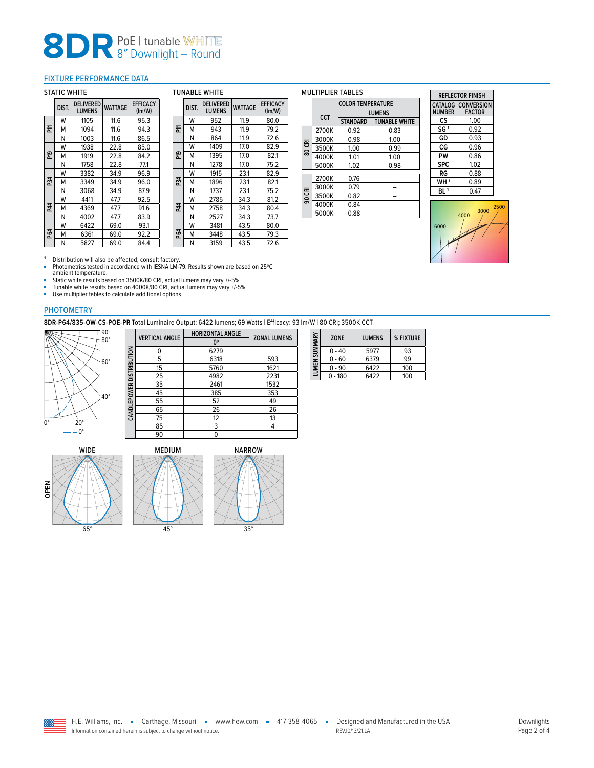### <span id="page-1-0"></span>FIXTURE PERFORMANCE DATA

#### STATIC WHITE

|            | DIST. | <b>DELIVERED</b><br><b>LUMENS</b> | <b>WATTAGE</b> | <b>EFFICACY</b><br>$\text{Im}/\text{W}$ |
|------------|-------|-----------------------------------|----------------|-----------------------------------------|
|            | w     | 1105                              | 11.6           | 95.3                                    |
| 둔          | м     | 1094                              | 11.6           | 94.3                                    |
|            | N     | 1003                              | 11.6           | 86.5                                    |
|            | w     | 1938                              | 22.8           | 85.0                                    |
| 운          | м     | 1919                              | 22.8           | 84.2                                    |
|            | N     | 1758                              | 22.8           | 77.1                                    |
|            | w     | 3382                              | 34.9           | 96.9                                    |
| P34        | м     | 3349                              | 34.9           | 96.0                                    |
|            | N     | 3068                              | 34.9           | 87.9                                    |
|            | w     | 4411                              | 47.7           | 92.5                                    |
| P44        | м     | 4369                              | 47.7           | 91.6                                    |
|            | N     | 4002                              | 47.7           | 83.9                                    |
|            | w     | 6422                              | 69.0           | 93.1                                    |
| <b>P64</b> | м     | 6361                              | 69.0           | 92.2                                    |
|            | Ν     | 5827                              | 69.0           | 84.4                                    |

| <b>TUNABLE WHITE</b> |       |                                   |                |                                         |  |  |
|----------------------|-------|-----------------------------------|----------------|-----------------------------------------|--|--|
|                      | DIST. | <b>DELIVERED</b><br><b>LUMENS</b> | <b>WATTAGE</b> | <b>EFFICACY</b><br>$\text{Im}/\text{W}$ |  |  |
|                      | W     | 952                               | 11.9           | 80.0                                    |  |  |
| 둔                    | м     | 943                               | 11.9           | 79.2                                    |  |  |
|                      | Ν     | 864                               | 11.9           | 72.6                                    |  |  |
|                      | w     | 1409                              | 17.0           | 82.9                                    |  |  |
| ဥ                    | м     | 1395                              | 17.0           | 82.1                                    |  |  |
|                      | N     | 1278                              | 17.0           | 75.2                                    |  |  |
|                      | W     | 1915                              | 23.1           | 82.9                                    |  |  |
| P34                  | M     | 1896                              | 23.1           | 82.1                                    |  |  |
|                      | N     | 1737                              | 23.1           | 75.2                                    |  |  |
|                      | w     | 2785                              | 34.3           | 81.2                                    |  |  |
| P44                  | м     | 2758                              | 34.3           | 80.4                                    |  |  |
|                      | Ν     | 2527                              | 34.3           | 73.7                                    |  |  |
|                      | w     | 3481                              | 43.5           | 80.0                                    |  |  |
| P64                  | м     | 3448                              | 43.5           | 79.3                                    |  |  |
|                      | Ν     | 3159                              | 43.5           | 72.6                                    |  |  |

#### MULTIPLIER TABLES

|        | <b>COLOR TEMPERATURE</b> |                 |                      |  |  |  |  |  |  |
|--------|--------------------------|-----------------|----------------------|--|--|--|--|--|--|
|        | CCT                      |                 | <b>LUMENS</b>        |  |  |  |  |  |  |
|        |                          | <b>STANDARD</b> | <b>TUNABLE WHITE</b> |  |  |  |  |  |  |
|        | 2700K                    | 0.92            | 0.83                 |  |  |  |  |  |  |
|        | 3000K                    | 0.98            | 1.00                 |  |  |  |  |  |  |
| 80 CRI | 3500K                    | 1.00            | 0.99                 |  |  |  |  |  |  |
|        | 4000K                    | 1.01            | 1.00                 |  |  |  |  |  |  |
|        | 5000K                    | 1.02            | 0.98                 |  |  |  |  |  |  |
|        |                          |                 |                      |  |  |  |  |  |  |
|        | 2700K                    | 0.76            |                      |  |  |  |  |  |  |
|        | 3000K                    | 0.79            |                      |  |  |  |  |  |  |
| 90 CRI | 3500K                    | 0.82            |                      |  |  |  |  |  |  |
|        | 4000K                    | 0.84            |                      |  |  |  |  |  |  |
|        | 5000K                    | 0.88            |                      |  |  |  |  |  |  |

| <b>REFI FCTOR FINISH</b> |                                            |  |  |  |  |  |
|--------------------------|--------------------------------------------|--|--|--|--|--|
| <b>NUMBER</b>            | <b>CATALOG CONVERSION</b><br><b>FACTOR</b> |  |  |  |  |  |
| cs                       | 1.00                                       |  |  |  |  |  |
| SG <sup>1</sup>          | 0.92                                       |  |  |  |  |  |
| GD                       | 0.93                                       |  |  |  |  |  |
| СG                       | በ 96                                       |  |  |  |  |  |
| PW                       | 0.86                                       |  |  |  |  |  |
| <b>SPC</b>               | 1.02                                       |  |  |  |  |  |
| RG                       | 0.88                                       |  |  |  |  |  |
| WH <sup>1</sup>          | 0.89                                       |  |  |  |  |  |
| BI 1                     | 0.47                                       |  |  |  |  |  |
|                          |                                            |  |  |  |  |  |



**1** Distribution will also be affected, consult factory.<br>■ Photometrics tested in accordance with IESNA LM-79. Results shown are based on 25℃ ambient temperature.<br>■ Static white results based on 3500K/80 CRI, actual lumens may vary +/-5%<br>■ Tunable white results based on 4000K/80 CRI, actual lumens may vary +/-5%

■ Use multiplier tables to calculate additional options.

#### PHOTOMETRY

**8DR-P64/835-OW-CS-POE-PR** Total Luminaire Output: 6422 lumens; 69 Watts | Efficacy: 93 lm/W | 80 CRI; 3500K CCT



|                          | <b>VERTICAL ANGLE</b> | <b>HORIZONTAL ANGLE</b> | <b>ZONAL LUMENS</b> |  |  |
|--------------------------|-----------------------|-------------------------|---------------------|--|--|
|                          |                       | 0°                      |                     |  |  |
|                          | ი                     | 6279                    |                     |  |  |
|                          | 5                     | 6318                    | 593                 |  |  |
|                          | 15                    | 5760                    | 1621                |  |  |
|                          | 25                    | 4982                    | 2231                |  |  |
|                          | 35                    | 2461                    | 1532                |  |  |
|                          | 45                    | 385                     | 353                 |  |  |
|                          | 55                    | 52                      | 49                  |  |  |
|                          | 65                    | 26                      | 26                  |  |  |
|                          | 75                    | 12                      | 13                  |  |  |
|                          | 85                    | 3                       | 4                   |  |  |
|                          | 90                    | 0                       |                     |  |  |
| CANDLEPOWER DISTRIBUTION |                       |                         |                     |  |  |

| LUMEN SUMMARY | <b>ZONE</b> | <b>LUMENS</b> | % FIXTURE |
|---------------|-------------|---------------|-----------|
|               | - 40        | 5977          | 93        |
|               | 0 - 60      | 6379          | 99        |
|               | $0 - 90$    | 6422          | 100       |
|               | - 180       | 6422          | 100       |







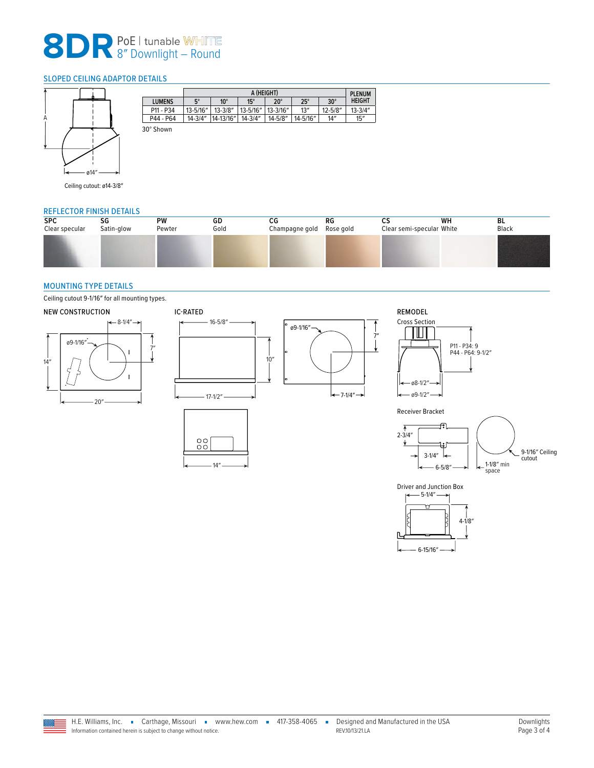### <span id="page-2-0"></span>SLOPED CEILING ADAPTOR DETAILS



| $5^\circ$<br><b>LUMENS</b> |              |               |               | A (HEIGHT) |              |               |  |  |  |  |  |  |
|----------------------------|--------------|---------------|---------------|------------|--------------|---------------|--|--|--|--|--|--|
|                            | $10^{\circ}$ | $15^\circ$    | $20^{\circ}$  | $25^\circ$ | $30^\circ$   | <b>HEIGHT</b> |  |  |  |  |  |  |
| $13 - 5/16''$<br>P11 - P34 | $13 - 3/8"$  | $13 - 5/16''$ | $13 - 3/16''$ | 13''       | $12 - 5/8''$ | $13 - 3/4"$   |  |  |  |  |  |  |
| $14 - 3/4"$<br>P44 - P64   | 14-13/16"    | $14 - 3/4"$   | $14 - 5/8"$   | 14-5/16"   | 14''         | 15''          |  |  |  |  |  |  |

Ceiling cutout: ø14-3/8″

#### REFLECTOR FINISH DETAILS

| <b>SPC</b>     | SG         | PW     | GD   | СG             | RG        | ິ                         | WH | BL    |
|----------------|------------|--------|------|----------------|-----------|---------------------------|----|-------|
| Clear specular | Satin-glow | Pewter | Gold | Champagne gold | Rose gold | Clear semi-specular White |    | Black |
|                |            |        |      |                |           |                           |    |       |

#### <span id="page-2-1"></span>MOUNTING TYPE DETAILS

Ceiling cutout 9-1/16″ for all mounting types.



Driver and Junction Box